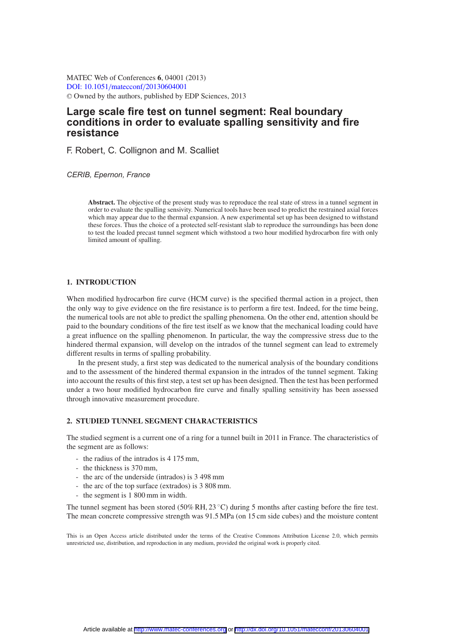MATEC Web of Conferences **6**, 04001 (2013) [DOI: 10.1051](http://dx.doi.org/10.1051/matecconf/20130604001)/matecconf/20130604001 <sup>C</sup> Owned by the authors, published by EDP Sciences, 2013

# **Large scale fire test on tunnel segment: Real boundary conditions in order to evaluate spalling sensitivity and fire resistance**

F. Robert, C. Collignon and M. Scalliet

*CERIB, Epernon, France*

**Abstract.** The objective of the present study was to reproduce the real state of stress in a tunnel segment in order to evaluate the spalling sensivity. Numerical tools have been used to predict the restrained axial forces which may appear due to the thermal expansion. A new experimental set up has been designed to withstand these forces. Thus the choice of a protected self-resistant slab to reproduce the surroundings has been done to test the loaded precast tunnel segment which withstood a two hour modified hydrocarbon fire with only limited amount of spalling.

### **1. INTRODUCTION**

When modified hydrocarbon fire curve (HCM curve) is the specified thermal action in a project, then the only way to give evidence on the fire resistance is to perform a fire test. Indeed, for the time being, the numerical tools are not able to predict the spalling phenomena. On the other end, attention should be paid to the boundary conditions of the fire test itself as we know that the mechanical loading could have a great influence on the spalling phenomenon. In particular, the way the compressive stress due to the hindered thermal expansion, will develop on the intrados of the tunnel segment can lead to extremely different results in terms of spalling probability.

In the present study, a first step was dedicated to the numerical analysis of the boundary conditions and to the assessment of the hindered thermal expansion in the intrados of the tunnel segment. Taking into account the results of this first step, a test set up has been designed. Then the test has been performed under a two hour modified hydrocarbon fire curve and finally spalling sensitivity has been assessed through innovative measurement procedure.

# **2. STUDIED TUNNEL SEGMENT CHARACTERISTICS**

The studied segment is a current one of a ring for a tunnel built in 2011 in France. The characteristics of the segment are as follows:

- the radius of the intrados is 4 175 mm,
- the thickness is 370 mm,
- the arc of the underside (intrados) is 3 498 mm
- the arc of the top surface (extrados) is 3 808 mm.
- the segment is 1 800 mm in width.

The tunnel segment has been stored (50% RH, 23 °C) during 5 months after casting before the fire test. The mean concrete compressive strength was 91.5 MPa (on 15 cm side cubes) and the moisture content

This is an Open Access article distributed under the terms of the Creative Commons Attribution License 2.0, which permits unrestricted use, distribution, and reproduction in any medium, provided the original work is properly cited.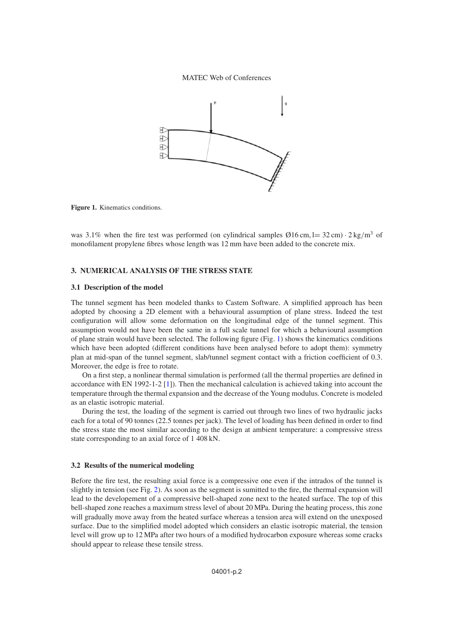MATEC Web of Conferences



<span id="page-1-0"></span>**Figure 1.** Kinematics conditions.

was 3.1% when the fire test was performed (on cylindrical samples  $\varnothing$ 16 cm, l= 32 cm)  $\cdot$  2 kg/m<sup>3</sup> of monofilament propylene fibres whose length was 12 mm have been added to the concrete mix.

# **3. NUMERICAL ANALYSIS OF THE STRESS STATE**

### **3.1 Description of the model**

The tunnel segment has been modeled thanks to Castem Software. A simplified approach has been adopted by choosing a 2D element with a behavioural assumption of plane stress. Indeed the test configuration will allow some deformation on the longitudinal edge of the tunnel segment. This assumption would not have been the same in a full scale tunnel for which a behavioural assumption of plane strain would have been selected. The following figure (Fig. [1\)](#page-1-0) shows the kinematics conditions which have been adopted (different conditions have been analysed before to adopt them): symmetry plan at mid-span of the tunnel segment, slab/tunnel segment contact with a friction coefficient of 0.3. Moreover, the edge is free to rotate.

On a first step, a nonlinear thermal simulation is performed (all the thermal properties are defined in accordance with EN 1992-1-2 [\[1](#page-6-0)]). Then the mechanical calculation is achieved taking into account the temperature through the thermal expansion and the decrease of the Young modulus. Concrete is modeled as an elastic isotropic material.

During the test, the loading of the segment is carried out through two lines of two hydraulic jacks each for a total of 90 tonnes (22.5 tonnes per jack). The level of loading has been defined in order to find the stress state the most similar according to the design at ambient temperature: a compressive stress state corresponding to an axial force of 1 408 kN.

#### **3.2 Results of the numerical modeling**

Before the fire test, the resulting axial force is a compressive one even if the intrados of the tunnel is slightly in tension (see Fig. [2\)](#page-2-0). As soon as the segment is sumitted to the fire, the thermal expansion will lead to the developement of a compressive bell-shaped zone next to the heated surface. The top of this bell-shaped zone reaches a maximum stress level of about 20 MPa. During the heating process, this zone will gradually move away from the heated surface whereas a tension area will extend on the unexposed surface. Due to the simplified model adopted which considers an elastic isotropic material, the tension level will grow up to 12 MPa after two hours of a modified hydrocarbon exposure whereas some cracks should appear to release these tensile stress.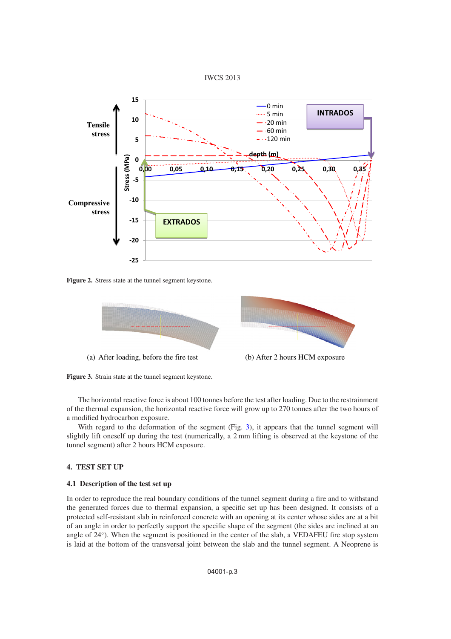

<span id="page-2-0"></span>

<span id="page-2-1"></span>**Figure 2.** Stress state at the tunnel segment keystone.





The horizontal reactive force is about 100 tonnes before the test after loading. Due to the restrainment of the thermal expansion, the horizontal reactive force will grow up to 270 tonnes after the two hours of a modified hydrocarbon exposure.

With regard to the deformation of the segment (Fig. [3\)](#page-2-1), it appears that the tunnel segment will slightly lift oneself up during the test (numerically, a 2 mm lifting is observed at the keystone of the tunnel segment) after 2 hours HCM exposure.

### **4. TEST SET UP**

## **4.1 Description of the test set up**

In order to reproduce the real boundary conditions of the tunnel segment during a fire and to withstand the generated forces due to thermal expansion, a specific set up has been designed. It consists of a protected self-resistant slab in reinforced concrete with an opening at its center whose sides are at a bit of an angle in order to perfectly support the specific shape of the segment (the sides are inclined at an angle of 24◦). When the segment is positioned in the center of the slab, a VEDAFEU fire stop system is laid at the bottom of the transversal joint between the slab and the tunnel segment. A Neoprene is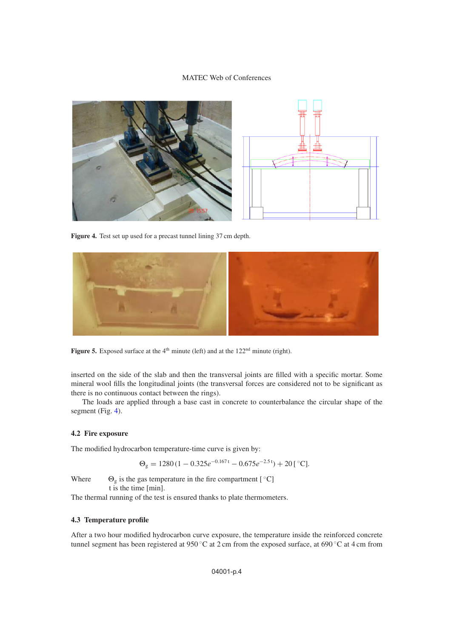# MATEC Web of Conferences

<span id="page-3-0"></span>

Figure 4. Test set up used for a precast tunnel lining 37 cm depth.



**Figure 5.** Exposed surface at the 4<sup>th</sup> minute (left) and at the 122<sup>nd</sup> minute (right).

inserted on the side of the slab and then the transversal joints are filled with a specific mortar. Some mineral wool fills the longitudinal joints (the transversal forces are considered not to be significant as there is no continuous contact between the rings).

The loads are applied through a base cast in concrete to counterbalance the circular shape of the segment (Fig. [4\)](#page-3-0).

### **4.2 Fire exposure**

The modified hydrocarbon temperature-time curve is given by:

$$
\Theta_{g} = 1280 (1 - 0.325 e^{-0.167 t} - 0.675 e^{-2.5 t}) + 20 [^{\circ}C].
$$

Where  $\Theta_{g}$  is the gas temperature in the fire compartment [  $°C$ ] t is the time [min].

The thermal running of the test is ensured thanks to plate thermometers.

# **4.3 Temperature profile**

After a two hour modified hydrocarbon curve exposure, the temperature inside the reinforced concrete tunnel segment has been registered at 950 ◦C at 2 cm from the exposed surface, at 690 ◦C at 4 cm from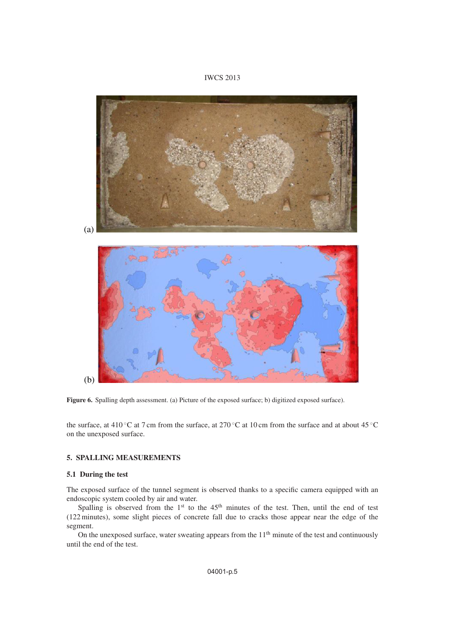# IWCS 2013

<span id="page-4-0"></span>

**Figure 6.** Spalling depth assessment. (a) Picture of the exposed surface; b) digitized exposed surface).

the surface, at 410 ◦C at 7 cm from the surface, at 270 ◦C at 10 cm from the surface and at about 45 ◦C on the unexposed surface.

## **5. SPALLING MEASUREMENTS**

### **5.1 During the test**

The exposed surface of the tunnel segment is observed thanks to a specific camera equipped with an endoscopic system cooled by air and water.

Spalling is observed from the  $1<sup>st</sup>$  to the  $45<sup>th</sup>$  minutes of the test. Then, until the end of test (122 minutes), some slight pieces of concrete fall due to cracks those appear near the edge of the segment.

On the unexposed surface, water sweating appears from the  $11<sup>th</sup>$  minute of the test and continuously until the end of the test.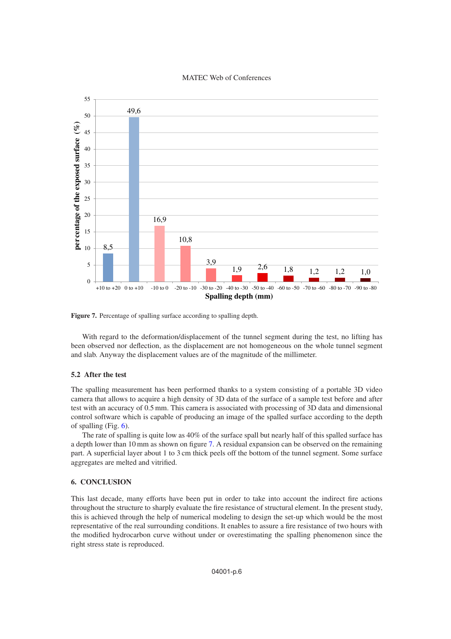### MATEC Web of Conferences

<span id="page-5-0"></span>

**Figure 7.** Percentage of spalling surface according to spalling depth.

With regard to the deformation/displacement of the tunnel segment during the test, no lifting has been observed nor deflection, as the displacement are not homogeneous on the whole tunnel segment and slab. Anyway the displacement values are of the magnitude of the millimeter.

### **5.2 After the test**

The spalling measurement has been performed thanks to a system consisting of a portable 3D video camera that allows to acquire a high density of 3D data of the surface of a sample test before and after test with an accuracy of 0.5 mm. This camera is associated with processing of 3D data and dimensional control software which is capable of producing an image of the spalled surface according to the depth of spalling (Fig. [6\)](#page-4-0).

The rate of spalling is quite low as 40% of the surface spall but nearly half of this spalled surface has a depth lower than 10 mm as shown on figure [7.](#page-5-0) A residual expansion can be observed on the remaining part. A superficial layer about 1 to 3 cm thick peels off the bottom of the tunnel segment. Some surface aggregates are melted and vitrified.

# **6. CONCLUSION**

This last decade, many efforts have been put in order to take into account the indirect fire actions throughout the structure to sharply evaluate the fire resistance of structural element. In the present study, this is achieved through the help of numerical modeling to design the set-up which would be the most representative of the real surrounding conditions. It enables to assure a fire resistance of two hours with the modified hydrocarbon curve without under or overestimating the spalling phenomenon since the right stress state is reproduced.